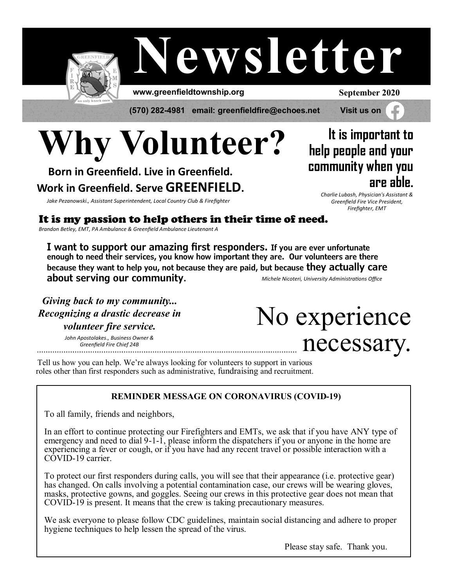

# **Newsletter**

**www.greenfieldtownship.org**

**September 2020**

**(570) 282-4981 email: greenfieldfire@echoes.net Visit us on**

# **Why Volunteer?**

**Born in Greenfield. Live in Greenfield. Work in Greenfield. Serve GREENFIELD.**

*Jake Pezanowski., Assistant Superintendent, Local Country Club & Firefighter*

**It is important to help people and your community when you are able.**

*Charlie Lubash, Physician's Assistant & Greenfield Fire Vice President, Firefighter, EMT*

It is my passion to help others in their time of need.

*Brandon Betley, EMT, PA Ambulance & Greenfield Ambulance Lieutenant A*

**I want to support our amazing first responders. If you are ever unfortunate**  enough to need their services, you know how important they are. Our volunteers are there **because they want to help you, not because they are paid, but because they actually care about serving our community.** *Michele Nicoteri, University Administrations Office*

*Giving back to my community... Recognizing a drastic decrease in volunteer fire service.*

*John Apostolakes., Business Owner & Greenfield Fire Chief 24B* 

No experience necessary.

Tell us how you can help. We're always looking for volunteers to support in various roles other than first responders such as administrative, fundraising and recruitment.

#### **REMINDER MESSAGE ON CORONAVIRUS (COVID-19)**

To all family, friends and neighbors,

In an effort to continue protecting our Firefighters and EMTs, we ask that if you have ANY type of emergency and need to dial 9-1-1, please inform the dispatchers if you or anyone in the home are experiencing a fever or cough, or if you have had any recent travel or possible interaction with a COVID-19 carrier.

To protect our first responders during calls, you will see that their appearance (i.e. protective gear) has changed. On calls involving a potential contamination case, our crews will be wearing gloves, masks, protective gowns, and goggles. Seeing our crews in this protective gear does not mean that COVID-19 is present. It means that the crew is taking precautionary measures.

We ask everyone to please follow CDC guidelines, maintain social distancing and adhere to proper hygiene techniques to help lessen the spread of the virus.

Please stay safe. Thank you.